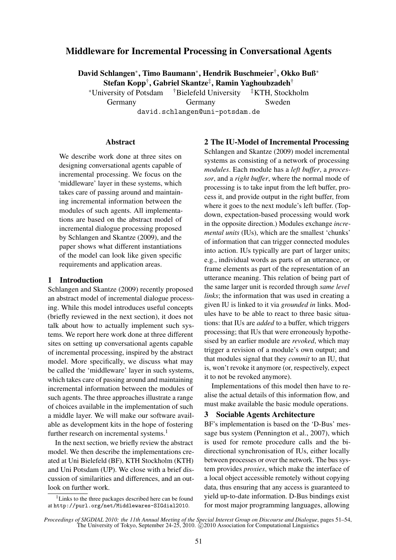# Middleware for Incremental Processing in Conversational Agents

David Schlangen<sup>∗</sup> , Timo Baumann<sup>∗</sup> , Hendrik Buschmeier† , Okko Buß<sup>∗</sup> Stefan Kopp $^\dagger,$  Gabriel Skantze $^\ddagger,$  Ramin Yaghoubzadeh $^\dagger$ 

<sup>∗</sup>University of Potsdam †Bielefeld University ‡KTH, Stockholm Germany Germany Sweden david.schlangen@uni-potsdam.de

#### Abstract

We describe work done at three sites on designing conversational agents capable of incremental processing. We focus on the 'middleware' layer in these systems, which takes care of passing around and maintaining incremental information between the modules of such agents. All implementations are based on the abstract model of incremental dialogue processing proposed by Schlangen and Skantze (2009), and the paper shows what different instantiations of the model can look like given specific requirements and application areas.

## 1 Introduction

Schlangen and Skantze (2009) recently proposed an abstract model of incremental dialogue processing. While this model introduces useful concepts (briefly reviewed in the next section), it does not talk about how to actually implement such systems. We report here work done at three different sites on setting up conversational agents capable of incremental processing, inspired by the abstract model. More specifically, we discuss what may be called the 'middleware' layer in such systems, which takes care of passing around and maintaining incremental information between the modules of such agents. The three approaches illustrate a range of choices available in the implementation of such a middle layer. We will make our software available as development kits in the hope of fostering further research on incremental systems.<sup>1</sup>

In the next section, we briefly review the abstract model. We then describe the implementations created at Uni Bielefeld (BF), KTH Stockholm (KTH) and Uni Potsdam (UP). We close with a brief discussion of similarities and differences, and an outlook on further work.

## 2 The IU-Model of Incremental Processing

Schlangen and Skantze (2009) model incremental systems as consisting of a network of processing *modules*. Each module has a *left buffer*, a *processor*, and a *right buffer*, where the normal mode of processing is to take input from the left buffer, process it, and provide output in the right buffer, from where it goes to the next module's left buffer. (Topdown, expectation-based processing would work in the opposite direction.) Modules exchange *incremental units* (IUs), which are the smallest 'chunks' of information that can trigger connected modules into action. IUs typically are part of larger units; e.g., individual words as parts of an utterance, or frame elements as part of the representation of an utterance meaning. This relation of being part of the same larger unit is recorded through *same level links*; the information that was used in creating a given IU is linked to it via *grounded in* links. Modules have to be able to react to three basic situations: that IUs are *added* to a buffer, which triggers processing; that IUs that were erroneously hypothesised by an earlier module are *revoked*, which may trigger a revision of a module's own output; and that modules signal that they *commit* to an IU, that is, won't revoke it anymore (or, respectively, expect it to not be revoked anymore).

Implementations of this model then have to realise the actual details of this information flow, and must make available the basic module operations.

# 3 Sociable Agents Architecture

BF's implementation is based on the 'D-Bus' message bus system (Pennington et al., 2007), which is used for remote procedure calls and the bidirectional synchronisation of IUs, either locally between processes or over the network. The bus system provides *proxies*, which make the interface of a local object accessible remotely without copying data, thus ensuring that any access is guaranteed to yield up-to-date information. D-Bus bindings exist for most major programming languages, allowing

 $1$ Links to the three packages described here can be found at http://purl.org/net/Middlewares-SIGdial2010.

*Proceedings of SIGDIAL 2010: the 11th Annual Meeting of the Special Interest Group on Discourse and Dialogue*, pages 51–54, The University of Tokyo, September 24-25, 2010.  $\odot$  2010 Association for Computational Linguistics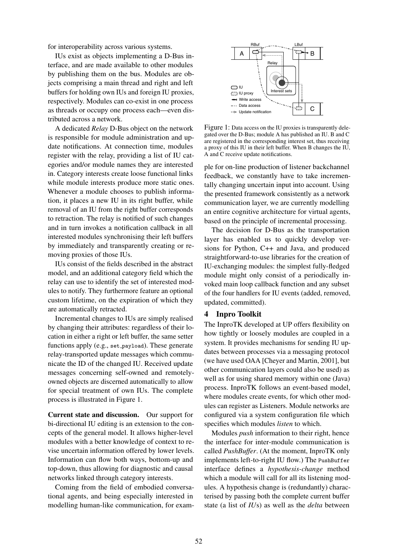for interoperability across various systems.

IUs exist as objects implementing a D-Bus interface, and are made available to other modules by publishing them on the bus. Modules are objects comprising a main thread and right and left buffers for holding own IUs and foreign IU proxies, respectively. Modules can co-exist in one process as threads or occupy one process each—even distributed across a network.

A dedicated *Relay* D-Bus object on the network is responsible for module administration and update notifications. At connection time, modules register with the relay, providing a list of IU categories and/or module names they are interested in. Category interests create loose functional links while module interests produce more static ones. Whenever a module chooses to publish information, it places a new IU in its right buffer, while removal of an IU from the right buffer corresponds to retraction. The relay is notified of such changes and in turn invokes a notification callback in all interested modules synchronising their left buffers by immediately and transparently creating or removing proxies of those IUs.

IUs consist of the fields described in the abstract model, and an additional category field which the relay can use to identify the set of interested modules to notify. They furthermore feature an optional custom lifetime, on the expiration of which they are automatically retracted.

Incremental changes to IUs are simply realised by changing their attributes: regardless of their location in either a right or left buffer, the same setter functions apply (e.g., set\_payload). These generate relay-transported update messages which communicate the ID of the changed IU. Received update messages concerning self-owned and remotelyowned objects are discerned automatically to allow for special treatment of own IUs. The complete process is illustrated in Figure 1.

Current state and discussion. Our support for bi-directional IU editing is an extension to the concepts of the general model. It allows higher-level modules with a better knowledge of context to revise uncertain information offered by lower levels. Information can flow both ways, bottom-up and top-down, thus allowing for diagnostic and causal networks linked through category interests.

Coming from the field of embodied conversational agents, and being especially interested in modelling human-like communication, for exam-



Figure 1: Data access on the IU proxies is transparently delegated over the D-Bus; module A has published an IU. B and C are registered in the corresponding interest set, thus receiving a proxy of this IU in their left buffer. When B changes the IU, A and C receive update notifications.

ple for on-line production of listener backchannel feedback, we constantly have to take incrementally changing uncertain input into account. Using the presented framework consistently as a network communication layer, we are currently modelling an entire cognitive architecture for virtual agents, based on the principle of incremental processing.

The decision for D-Bus as the transportation layer has enabled us to quickly develop versions for Python, C++ and Java, and produced straightforward-to-use libraries for the creation of IU-exchanging modules: the simplest fully-fledged module might only consist of a periodically invoked main loop callback function and any subset of the four handlers for IU events (added, removed, updated, committed).

#### 4 Inpro Toolkit

The InproTK developed at UP offers flexibility on how tightly or loosely modules are coupled in a system. It provides mechanisms for sending IU updates between processes via a messaging protocol (we have used OAA [Cheyer and Martin, 2001], but other communication layers could also be used) as well as for using shared memory within one (Java) process. InproTK follows an event-based model, where modules create events, for which other modules can register as Listeners. Module networks are configured via a system configuration file which specifies which modules *listen* to which.

Modules *push* information to their right, hence the interface for inter-module communication is called *PushBuffer*. (At the moment, InproTK only implements left-to-right IU flow.) The PushBuffer interface defines a *hypothesis-change* method which a module will call for all its listening modules. A hypothesis change is (redundantly) characterised by passing both the complete current buffer state (a list of *IU*s) as well as the *delta* between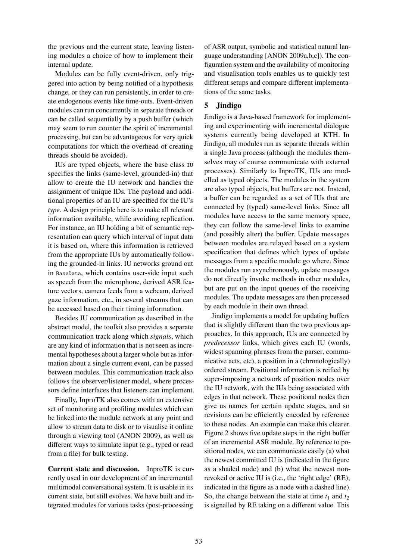the previous and the current state, leaving listening modules a choice of how to implement their internal update.

Modules can be fully event-driven, only triggered into action by being notified of a hypothesis change, or they can run persistently, in order to create endogenous events like time-outs. Event-driven modules can run concurrently in separate threads or can be called sequentially by a push buffer (which may seem to run counter the spirit of incremental processing, but can be advantageous for very quick computations for which the overhead of creating threads should be avoided).

IUs are typed objects, where the base class IU specifies the links (same-level, grounded-in) that allow to create the IU network and handles the assignment of unique IDs. The payload and additional properties of an IU are specified for the IU's *type*. A design principle here is to make all relevant information available, while avoiding replication. For instance, an IU holding a bit of semantic representation can query which interval of input data it is based on, where this information is retrieved from the appropriate IUs by automatically following the grounded-in links. IU networks ground out in BaseData, which contains user-side input such as speech from the microphone, derived ASR feature vectors, camera feeds from a webcam, derived gaze information, etc., in several streams that can be accessed based on their timing information.

Besides IU communication as described in the abstract model, the toolkit also provides a separate communication track along which *signals*, which are any kind of information that is not seen as incremental hypotheses about a larger whole but as information about a single current event, can be passed between modules. This communication track also follows the observer/listener model, where processors define interfaces that listeners can implement.

Finally, InproTK also comes with an extensive set of monitoring and profiling modules which can be linked into the module network at any point and allow to stream data to disk or to visualise it online through a viewing tool (ANON 2009), as well as different ways to simulate input (e.g., typed or read from a file) for bulk testing.

Current state and discussion. InproTK is currently used in our development of an incremental multimodal conversational system. It is usable in its current state, but still evolves. We have built and integrated modules for various tasks (post-processing

of ASR output, symbolic and statistical natural language understanding [ANON 2009a,b,c]). The configuration system and the availability of monitoring and visualisation tools enables us to quickly test different setups and compare different implementations of the same tasks.

# 5 Jindigo

Jindigo is a Java-based framework for implementing and experimenting with incremental dialogue systems currently being developed at KTH. In Jindigo, all modules run as separate threads within a single Java process (although the modules themselves may of course communicate with external processes). Similarly to InproTK, IUs are modelled as typed objects. The modules in the system are also typed objects, but buffers are not. Instead, a buffer can be regarded as a set of IUs that are connected by (typed) same-level links. Since all modules have access to the same memory space, they can follow the same-level links to examine (and possibly alter) the buffer. Update messages between modules are relayed based on a system specification that defines which types of update messages from a specific module go where. Since the modules run asynchronously, update messages do not directly invoke methods in other modules, but are put on the input queues of the receiving modules. The update messages are then processed by each module in their own thread.

Jindigo implements a model for updating buffers that is slightly different than the two previous approaches. In this approach, IUs are connected by *predecessor* links, which gives each IU (words, widest spanning phrases from the parser, communicative acts, etc), a position in a (chronologically) ordered stream. Positional information is reified by super-imposing a network of position nodes over the IU network, with the IUs being associated with edges in that network. These positional nodes then give us names for certain update stages, and so revisions can be efficiently encoded by reference to these nodes. An example can make this clearer. Figure 2 shows five update steps in the right buffer of an incremental ASR module. By reference to positional nodes, we can communicate easily (a) what the newest committed IU is (indicated in the figure as a shaded node) and (b) what the newest nonrevoked or active IU is (i.e., the 'right edge' (RE); indicated in the figure as a node with a dashed line). So, the change between the state at time  $t_1$  and  $t_2$ is signalled by RE taking on a different value. This